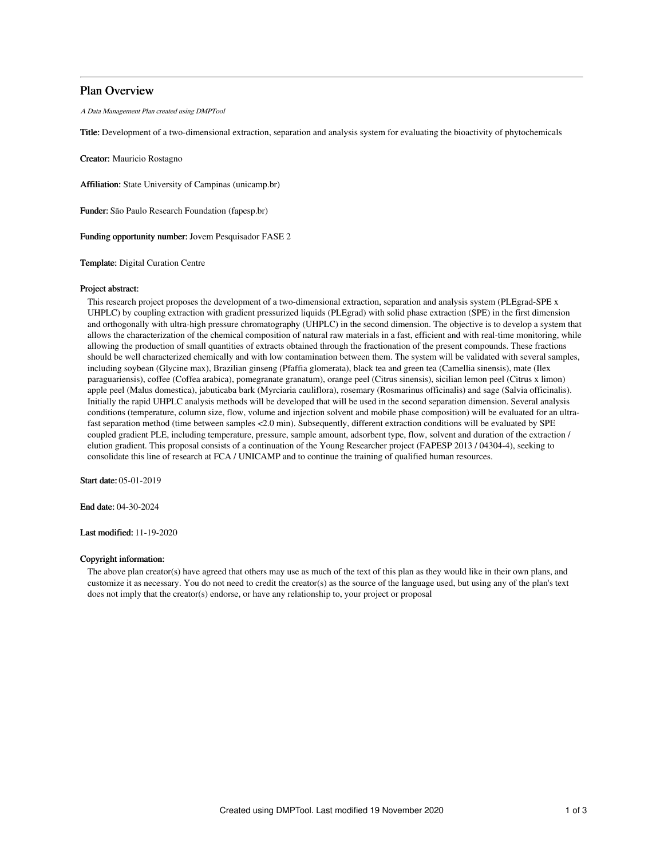# Plan Overview

A Data Management Plan created using DMPTool

Title: Development of a two-dimensional extraction, separation and analysis system for evaluating the bioactivity of phytochemicals

Creator: Mauricio Rostagno

Affiliation: State University of Campinas (unicamp.br)

Funder: São Paulo Research Foundation (fapesp.br)

Funding opportunity number: Jovem Pesquisador FASE 2

Template: Digital Curation Centre

# Project abstract:

This research project proposes the development of a two-dimensional extraction, separation and analysis system (PLEgrad-SPE x UHPLC) by coupling extraction with gradient pressurized liquids (PLEgrad) with solid phase extraction (SPE) in the first dimension and orthogonally with ultra-high pressure chromatography (UHPLC) in the second dimension. The objective is to develop a system that allows the characterization of the chemical composition of natural raw materials in a fast, efficient and with real-time monitoring, while allowing the production of small quantities of extracts obtained through the fractionation of the present compounds. These fractions should be well characterized chemically and with low contamination between them. The system will be validated with several samples, including soybean (Glycine max), Brazilian ginseng (Pfaffia glomerata), black tea and green tea (Camellia sinensis), mate (Ilex paraguariensis), coffee (Coffea arabica), pomegranate granatum), orange peel (Citrus sinensis), sicilian lemon peel (Citrus x limon) apple peel (Malus domestica), jabuticaba bark (Myrciaria cauliflora), rosemary (Rosmarinus officinalis) and sage (Salvia officinalis). Initially the rapid UHPLC analysis methods will be developed that will be used in the second separation dimension. Several analysis conditions (temperature, column size, flow, volume and injection solvent and mobile phase composition) will be evaluated for an ultrafast separation method (time between samples <2.0 min). Subsequently, different extraction conditions will be evaluated by SPE coupled gradient PLE, including temperature, pressure, sample amount, adsorbent type, flow, solvent and duration of the extraction / elution gradient. This proposal consists of a continuation of the Young Researcher project (FAPESP 2013 / 04304-4), seeking to consolidate this line of research at FCA / UNICAMP and to continue the training of qualified human resources.

Start date: 05-01-2019

End date: 04-30-2024

Last modified: 11-19-2020

# Copyright information:

The above plan creator(s) have agreed that others may use as much of the text of this plan as they would like in their own plans, and customize it as necessary. You do not need to credit the creator(s) as the source of the language used, but using any of the plan's text does not imply that the creator(s) endorse, or have any relationship to, your project or proposal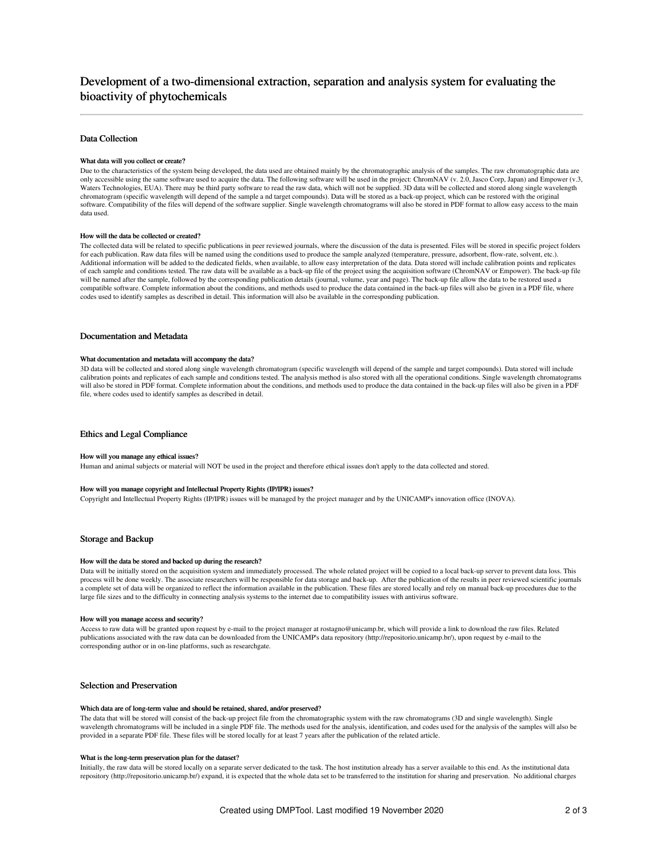# Development of a two-dimensional extraction, separation and analysis system for evaluating the bioactivity of phytochemicals

# Data Collection

# What data will you collect or create?

Due to the characteristics of the system being developed, the data used are obtained mainly by the chromatographic analysis of the samples. The raw chromatographic data are only accessible using the same software used to acquire the data. The following software will be used in the project: ChromNAV (v. 2.0, Jasco Corp, Japan) and Empower (v.3, Waters Technologies, EUA). There may be third party software to read the raw data, which will not be supplied. 3D data will be collected and stored along single wavelength chromatogram (specific wavelength will depend of the sample a nd target compounds). Data will be stored as a back-up project, which can be restored with the original software. Compatibility of the files will depend of the software supplier. Single wavelength chromatograms will also be stored in PDF format to allow easy access to the main data used.

### How will the data be collected or created?

The collected data will be related to specific publications in peer reviewed journals, where the discussion of the data is presented. Files will be stored in specific project folders for each publication. Raw data files will be named using the conditions used to produce the sample analyzed (temperature, pressure, adsorbent, flow-rate, solvent, etc.). Additional information will be added to the dedicated fields, when available, to allow easy interpretation of the data. Data stored will include calibration points and replicates of each sample and conditions tested. The raw data will be available as a back-up file of the project using the acquisition software (ChromNAV or Empower). The back-up file will be named after the sample, followed by the corresponding publication details (journal, volume, year and page). The back-up file allow the data to be restored used a compatible software. Complete information about the conditions, and methods used to produce the data contained in the back-up files will also be given in a PDF file, where codes used to identify samples as described in detail. This information will also be available in the corresponding publication.

# Documentation and Metadata

### What documentation and metadata will accompany the data?

3D data will be collected and stored along single wavelength chromatogram (specific wavelength will depend of the sample and target compounds). Data stored will include calibration points and replicates of each sample and conditions tested. The analysis method is also stored with all the operational conditions. Single wavelength chromatograms will also be stored in PDF format. Complete information about the conditions, and methods used to produce the data contained in the back-up files will also be given in a PDF file, where codes used to identify samples as described in detail.

### Ethics and Legal Compliance

#### How will you manage any ethical issues?

Human and animal subjects or material will NOT be used in the project and therefore ethical issues don't apply to the data collected and stored.

#### How will you manage copyright and Intellectual Property Rights (IP/IPR) issues?

Copyright and Intellectual Property Rights (IP/IPR) issues will be managed by the project manager and by the UNICAMP's innovation office (INOVA).

### Storage and Backup

#### How will the data be stored and backed up during the research?

Data will be initially stored on the acquisition system and immediately processed. The whole related project will be copied to a local back-up server to prevent data loss. This process will be done weekly. The associate researchers will be responsible for data storage and back-up. After the publication of the results in peer reviewed scientific journals a complete set of data will be organized to reflect the information available in the publication. These files are stored locally and rely on manual back-up procedures due to the large file sizes and to the difficulty in connecting analysis systems to the internet due to compatibility issues with antivirus software.

#### How will you manage access and security?

Access to raw data will be granted upon request by e-mail to the project manager at rostagno@unicamp.br, which will provide a link to download the raw files. Related publications associated with the raw data can be downloaded from the UNICAMP's data repository (http://repositorio.unicamp.br/), upon request by e-mail to the corresponding author or in on-line platforms, such as researchgate.

# Selection and Preservation

### Which data are of long-term value and should be retained, shared, and/or preserved?

The data that will be stored will consist of the back-up project file from the chromatographic system with the raw chromatograms (3D and single wavelength). Single wavelength chromatograms will be included in a single PDF file. The methods used for the analysis, identification, and codes used for the analysis of the samples will also be provided in a separate PDF file. These files will be stored locally for at least 7 years after the publication of the related article.

# What is the long-term preservation plan for the dataset?

Initially, the raw data will be stored locally on a separate server dedicated to the task. The host institution already has a server available to this end. As the institutional data repository (http://repositorio.unicamp.br/) expand, it is expected that the whole data set to be transferred to the institution for sharing and preservation. No additional charges